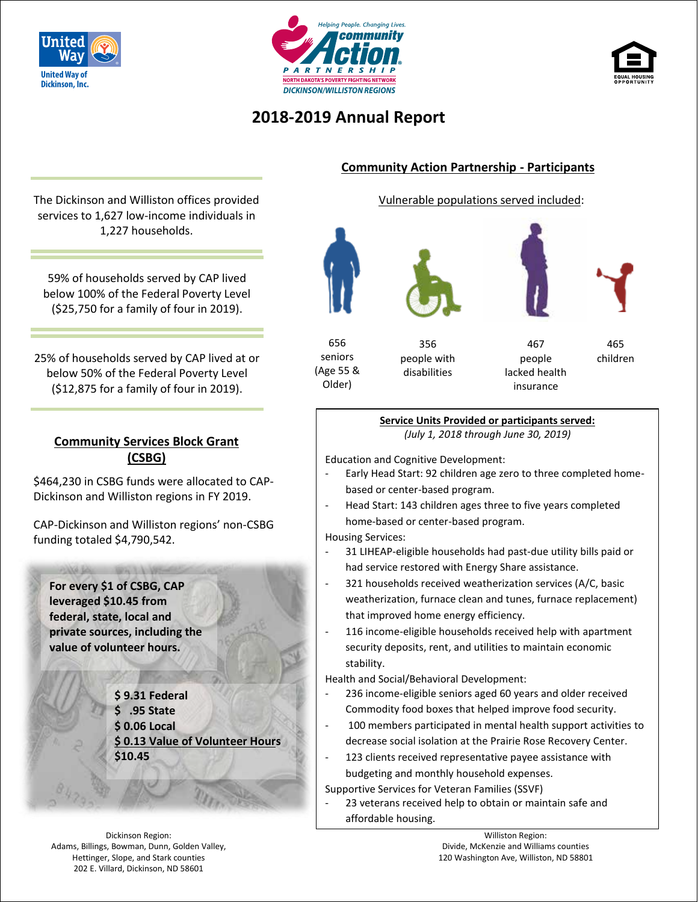





## **2018-2019 Annual Report**

The Dickinson and Williston offices provided services to 1,627 low-income individuals in 1,227 households.

59% of households served by CAP lived below 100% of the Federal Poverty Level (\$25,750 for a family of four in 2019).

25% of households served by CAP lived at or below 50% of the Federal Poverty Level (\$12,875 for a family of four in 2019).

### **Community Services Block Grant (CSBG)**

\$464,230 in CSBG funds were allocated to CAP-Dickinson and Williston regions in FY 2019.

CAP-Dickinson and Williston regions' non-CSBG funding totaled \$4,790,542.

**For every \$1 of CSBG, CAP leveraged \$10.45 from federal, state, local and private sources, including the value of volunteer hours.** 

第二 取完工人

**\$ 9.31 Federal \$ .95 State \$ 0.06 Local \$ 0.13 Value of Volunteer Hours \$10.45**

Dickinson Region: Adams, Billings, Bowman, Dunn, Golden Valley, Hettinger, Slope, and Stark counties 202 E. Villard, Dickinson, ND 58601

### **Community Action Partnership - Participants**

Vulnerable populations served included:





356 people with disabilities

467 people lacked health insurance

465 children

#### **Service Units Provided or participants served:**  *(July 1, 2018 through June 30, 2019)*

Education and Cognitive Development:

- Early Head Start: 92 children age zero to three completed homebased or center-based program.
- Head Start: 143 children ages three to five years completed home-based or center-based program.

Housing Services:

- 31 LIHEAP-eligible households had past-due utility bills paid or had service restored with Energy Share assistance.
- 321 households received weatherization services (A/C, basic weatherization, furnace clean and tunes, furnace replacement) that improved home energy efficiency.
- 116 income-eligible households received help with apartment security deposits, rent, and utilities to maintain economic stability.

Health and Social/Behavioral Development:

- 236 income-eligible seniors aged 60 years and older received Commodity food boxes that helped improve food security.
- 100 members participated in mental health support activities to decrease social isolation at the Prairie Rose Recovery Center.
- 123 clients received representative payee assistance with budgeting and monthly household expenses.

Supportive Services for Veteran Families (SSVF)

23 veterans received help to obtain or maintain safe and affordable housing.